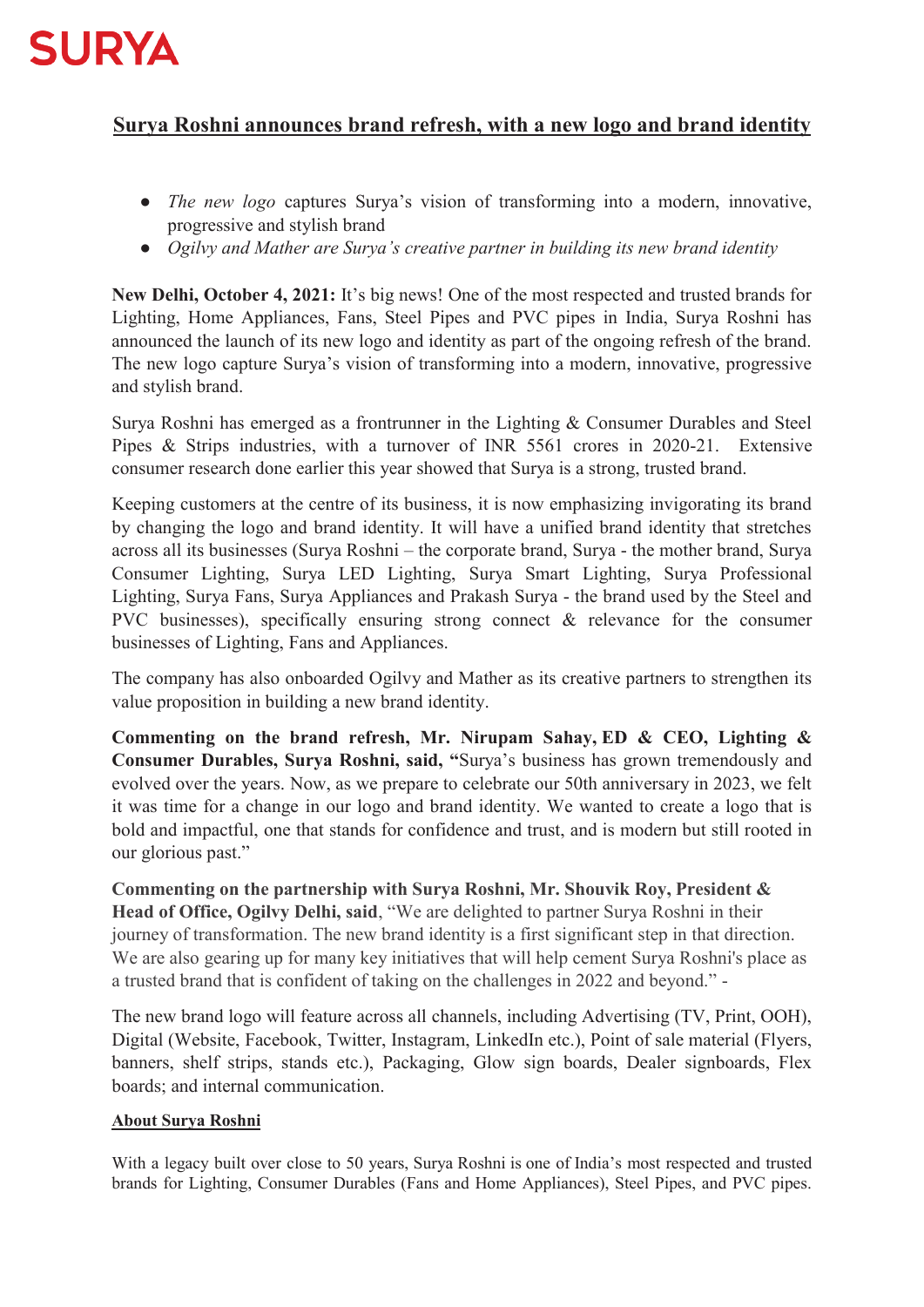

## **Surya Roshni announces brand refresh, with a new logo and brand identity**

- *The new logo* captures Surya's vision of transforming into a modern, innovative, progressive and stylish brand
- *Ogilvy and Mather are Surya's creative partner in building its new brand identity*

**New Delhi, October 4, 2021:** It's big news! One of the most respected and trusted brands for Lighting, Home Appliances, Fans, Steel Pipes and PVC pipes in India, Surya Roshni has announced the launch of its new logo and identity as part of the ongoing refresh of the brand. The new logo capture Surya's vision of transforming into a modern, innovative, progressive and stylish brand.

Surya Roshni has emerged as a frontrunner in the Lighting & Consumer Durables and Steel Pipes & Strips industries, with a turnover of INR 5561 crores in 2020-21. Extensive consumer research done earlier this year showed that Surya is a strong, trusted brand.

Keeping customers at the centre of its business, it is now emphasizing invigorating its brand by changing the logo and brand identity. It will have a unified brand identity that stretches across all its businesses (Surya Roshni – the corporate brand, Surya - the mother brand, Surya Consumer Lighting, Surya LED Lighting, Surya Smart Lighting, Surya Professional Lighting, Surya Fans, Surya Appliances and Prakash Surya - the brand used by the Steel and PVC businesses), specifically ensuring strong connect & relevance for the consumer businesses of Lighting, Fans and Appliances.

The company has also onboarded Ogilvy and Mather as its creative partners to strengthen its value proposition in building a new brand identity.

**Commenting on the brand refresh, Mr. Nirupam Sahay, ED & CEO, Lighting & Consumer Durables, Surya Roshni, said, "**Surya's business has grown tremendously and evolved over the years. Now, as we prepare to celebrate our 50th anniversary in 2023, we felt it was time for a change in our logo and brand identity. We wanted to create a logo that is bold and impactful, one that stands for confidence and trust, and is modern but still rooted in our glorious past."

**Commenting on the partnership with Surya Roshni, Mr. Shouvik Roy, President & Head of Office, Ogilvy Delhi, said**, "We are delighted to partner Surya Roshni in their journey of transformation. The new brand identity is a first significant step in that direction. We are also gearing up for many key initiatives that will help cement Surya Roshni's place as a trusted brand that is confident of taking on the challenges in 2022 and beyond." -

The new brand logo will feature across all channels, including Advertising (TV, Print, OOH), Digital (Website, Facebook, Twitter, Instagram, LinkedIn etc.), Point of sale material (Flyers, banners, shelf strips, stands etc.), Packaging, Glow sign boards, Dealer signboards, Flex boards; and internal communication.

## **About Surya Roshni**

With a legacy built over close to 50 years, Surya Roshni is one of India's most respected and trusted brands for Lighting, Consumer Durables (Fans and Home Appliances), Steel Pipes, and PVC pipes.